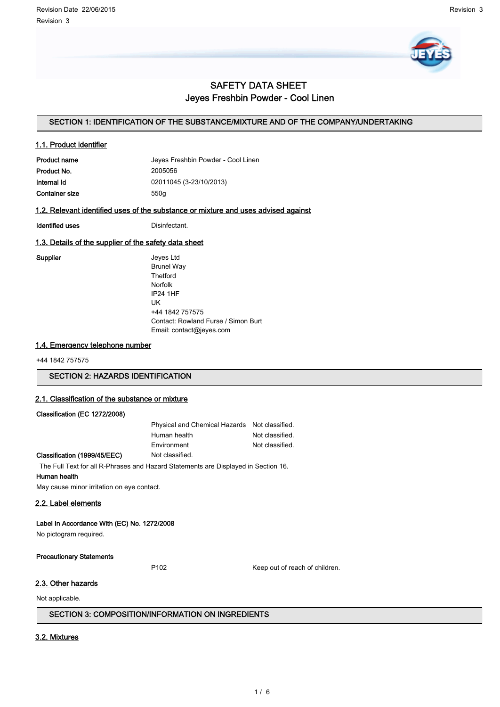

# SAFETY DATA SHEET Jeyes Freshbin Powder - Cool Linen

## SECTION 1: IDENTIFICATION OF THE SUBSTANCE/MIXTURE AND OF THE COMPANY/UNDERTAKING

### 1.1. Product identifier

| <b>Product name</b> | Jeyes Freshbin Powder - Cool Linen |
|---------------------|------------------------------------|
| Product No.         | 2005056                            |
| Internal Id         | 02011045 (3-23/10/2013)            |
| Container size      | 550a                               |

## 1.2. Relevant identified uses of the substance or mixture and uses advised against

Identified uses **Distriction** 

## 1.3. Details of the supplier of the safety data sheet

Supplier **Supplier** Jeyes Ltd Brunel Way **Thetford** Norfolk IP24 1HF UK +44 1842 757575 Contact: Rowland Furse / Simon Burt Email: contact@jeyes.com

## 1.4. Emergency telephone number

+44 1842 757575

SECTION 2: HAZARDS IDENTIFICATION

## 2.1. Classification of the substance or mixture

### Classification (EC 1272/2008)

| Physical and Chemical Hazards Not classified. |                 |
|-----------------------------------------------|-----------------|
| Human health                                  | Not classified. |
| Environment                                   | Not classified. |
| Not classified                                |                 |

### Classification (1999/45/EEC) Not classified.

The Full Text for all R-Phrases and Hazard Statements are Displayed in Section 16.

## Human health

May cause minor irritation on eye contact.

## 2.2. Label elements

### Label In Accordance With (EC) No. 1272/2008

No pictogram required.

#### Precautionary Statements

P102 Keep out of reach of children.

## 2.3. Other hazards

Not applicable.

## SECTION 3: COMPOSITION/INFORMATION ON INGREDIENTS

### 3.2. Mixtures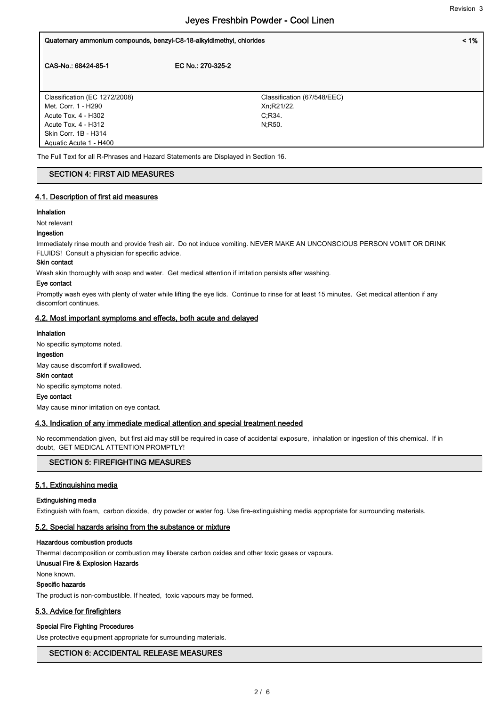| Quaternary ammonium compounds, benzyl-C8-18-alkyldimethyl, chlorides |                             | $< 1\%$ |
|----------------------------------------------------------------------|-----------------------------|---------|
| CAS-No.: 68424-85-1                                                  | EC No.: 270-325-2           |         |
| Classification (EC 1272/2008)                                        | Classification (67/548/EEC) |         |
| Met. Corr. 1 - H290<br>Acute Tox. 4 - H302                           | Xn, R21/22.<br>C:R34.       |         |
| Acute Tox. 4 - H312                                                  | N:R50.                      |         |
| Skin Corr. 1B - H314                                                 |                             |         |
| Aquatic Acute 1 - H400                                               |                             |         |

The Full Text for all R-Phrases and Hazard Statements are Displayed in Section 16.

### SECTION 4: FIRST AID MEASURES

## 4.1. Description of first aid measures

#### Inhalation

Not relevant

#### Ingestion

Immediately rinse mouth and provide fresh air. Do not induce vomiting. NEVER MAKE AN UNCONSCIOUS PERSON VOMIT OR DRINK FLUIDS! Consult a physician for specific advice.

## Skin contact

Wash skin thoroughly with soap and water. Get medical attention if irritation persists after washing.

#### Eye contact

Promptly wash eyes with plenty of water while lifting the eye lids. Continue to rinse for at least 15 minutes. Get medical attention if any discomfort continues.

#### 4.2. Most important symptoms and effects, both acute and delayed

#### Inhalation

No specific symptoms noted.

## Ingestion

May cause discomfort if swallowed.

# Skin contact

No specific symptoms noted.

## Eye contact

May cause minor irritation on eye contact.

## 4.3. Indication of any immediate medical attention and special treatment needed

No recommendation given, but first aid may still be required in case of accidental exposure, inhalation or ingestion of this chemical. If in doubt, GET MEDICAL ATTENTION PROMPTLY!

# SECTION 5: FIREFIGHTING MEASURES

# 5.1. Extinguishing media

## Extinguishing media

Extinguish with foam, carbon dioxide, dry powder or water fog. Use fire-extinguishing media appropriate for surrounding materials.

## 5.2. Special hazards arising from the substance or mixture

## Hazardous combustion products

Thermal decomposition or combustion may liberate carbon oxides and other toxic gases or vapours.

## Unusual Fire & Explosion Hazards

None known.

# Specific hazards

The product is non-combustible. If heated, toxic vapours may be formed.

# 5.3. Advice for firefighters

# Special Fire Fighting Procedures

Use protective equipment appropriate for surrounding materials.

# SECTION 6: ACCIDENTAL RELEASE MEASURES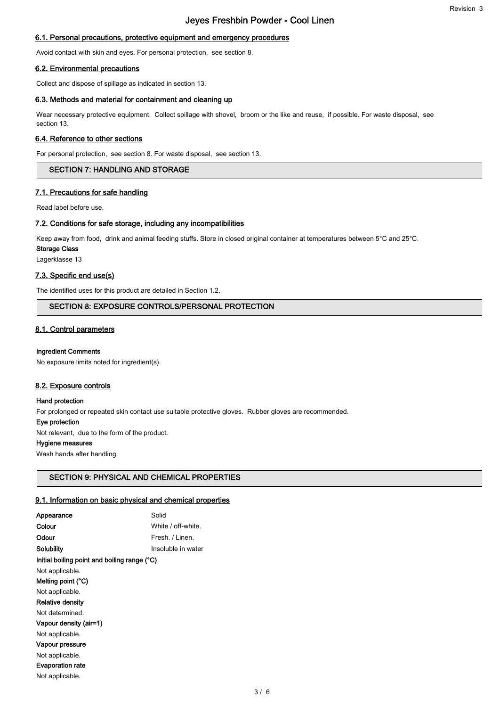#### 6.1. Personal precautions, protective equipment and emergency procedures

Avoid contact with skin and eyes. For personal protection, see section 8.

### 6.2. Environmental precautions

Collect and dispose of spillage as indicated in section 13.

#### 6.3. Methods and material for containment and cleaning up

Wear necessary protective equipment. Collect spillage with shovel, broom or the like and reuse, if possible. For waste disposal, see section 13.

#### 6.4. Reference to other sections

For personal protection, see section 8. For waste disposal, see section 13.

## SECTION 7: HANDLING AND STORAGE

#### 7.1. Precautions for safe handling

Read label before use.

#### 7.2. Conditions for safe storage, including any incompatibilities

Keep away from food, drink and animal feeding stuffs. Store in closed original container at temperatures between 5°C and 25°C.

Storage Class

Lagerklasse 13

## 7.3. Specific end use(s)

The identified uses for this product are detailed in Section 1.2.

## SECTION 8: EXPOSURE CONTROLS/PERSONAL PROTECTION

#### 8.1. Control parameters

#### Ingredient Comments

No exposure limits noted for ingredient(s).

#### 8.2. Exposure controls

#### Hand protection

For prolonged or repeated skin contact use suitable protective gloves. Rubber gloves are recommended.

### Eye protection

Not relevant, due to the form of the product.

### Hygiene measures

Wash hands after handling.

## SECTION 9: PHYSICAL AND CHEMICAL PROPERTIES

#### 9.1. Information on basic physical and chemical properties

| Appearance                                   | Solid              |
|----------------------------------------------|--------------------|
| Colour                                       | White / off-white. |
| Odour                                        | Fresh. / Linen.    |
| Solubility                                   | Insoluble in water |
| Initial boiling point and boiling range (°C) |                    |
| Not applicable.                              |                    |
| Melting point (°C)                           |                    |
| Not applicable.                              |                    |
| Relative density                             |                    |
| Not determined.                              |                    |
| Vapour density (air=1)                       |                    |
| Not applicable.                              |                    |
| Vapour pressure                              |                    |
| Not applicable.                              |                    |
| <b>Evaporation rate</b>                      |                    |
| Not applicable.                              |                    |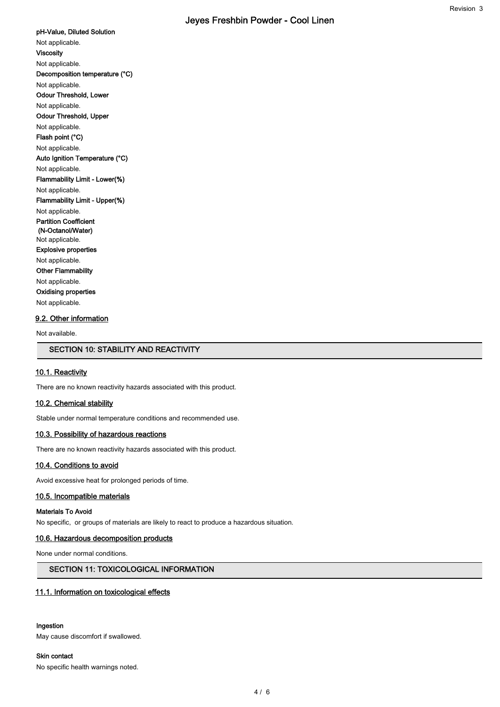pH-Value, Diluted Solution Not applicable. Viscosity Not applicable. Decomposition temperature (°C) Not applicable. Odour Threshold, Lower Not applicable. Odour Threshold, Upper Not applicable. Flash point (°C) Not applicable. Auto Ignition Temperature (°C) Not applicable. Flammability Limit - Lower(%) Not applicable. Flammability Limit - Upper(%) Not applicable. Partition Coefficient (N-Octanol/Water) Not applicable. Explosive properties Not applicable. Other Flammability Not applicable. Oxidising properties Not applicable.

#### 9.2. Other information

Not available.

## SECTION 10: STABILITY AND REACTIVITY

#### 10.1. Reactivity

There are no known reactivity hazards associated with this product.

## 10.2. Chemical stability

Stable under normal temperature conditions and recommended use.

#### 10.3. Possibility of hazardous reactions

There are no known reactivity hazards associated with this product.

#### 10.4. Conditions to avoid

Avoid excessive heat for prolonged periods of time.

#### 10.5. Incompatible materials

### Materials To Avoid

No specific, or groups of materials are likely to react to produce a hazardous situation.

#### 10.6. Hazardous decomposition products

None under normal conditions.

# SECTION 11: TOXICOLOGICAL INFORMATION

#### 11.1. Information on toxicological effects

## Ingestion

May cause discomfort if swallowed.

### Skin contact

No specific health warnings noted.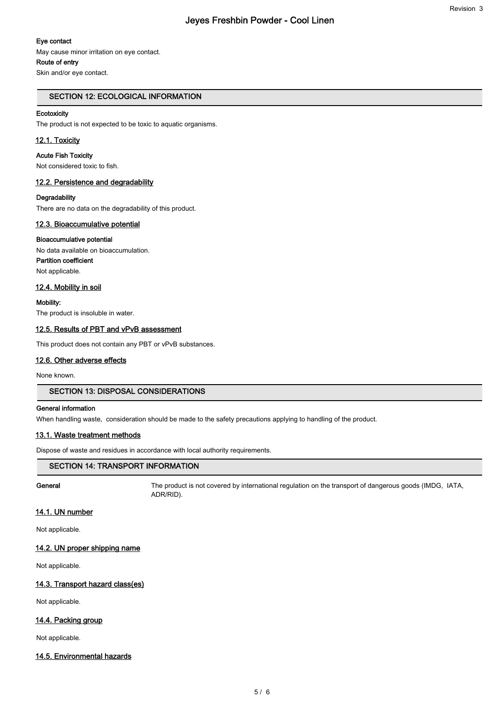### Eye contact

May cause minor irritation on eye contact.

#### Route of entry

Skin and/or eye contact.

## SECTION 12: ECOLOGICAL INFORMATION

### **Ecotoxicity**

The product is not expected to be toxic to aquatic organisms.

## 12.1. Toxicity

#### Acute Fish Toxicity

Not considered toxic to fish.

## 12.2. Persistence and degradability

#### **Degradability**

There are no data on the degradability of this product.

## 12.3. Bioaccumulative potential

#### Bioaccumulative potential

No data available on bioaccumulation. Partition coefficient Not applicable.

## 12.4. Mobility in soil

Mobility: The product is insoluble in water.

## 12.5. Results of PBT and vPvB assessment

This product does not contain any PBT or vPvB substances.

#### 12.6. Other adverse effects

None known.

#### SECTION 13: DISPOSAL CONSIDERATIONS

#### General information

When handling waste, consideration should be made to the safety precautions applying to handling of the product.

## 13.1. Waste treatment methods

Dispose of waste and residues in accordance with local authority requirements.

## SECTION 14: TRANSPORT INFORMATION

General The product is not covered by international regulation on the transport of dangerous goods (IMDG, IATA, ADR/RID).

## 14.1. UN number

Not applicable.

### 14.2. UN proper shipping name

Not applicable.

## 14.3. Transport hazard class(es)

Not applicable.

## 14.4. Packing group

Not applicable.

#### 14.5. Environmental hazards